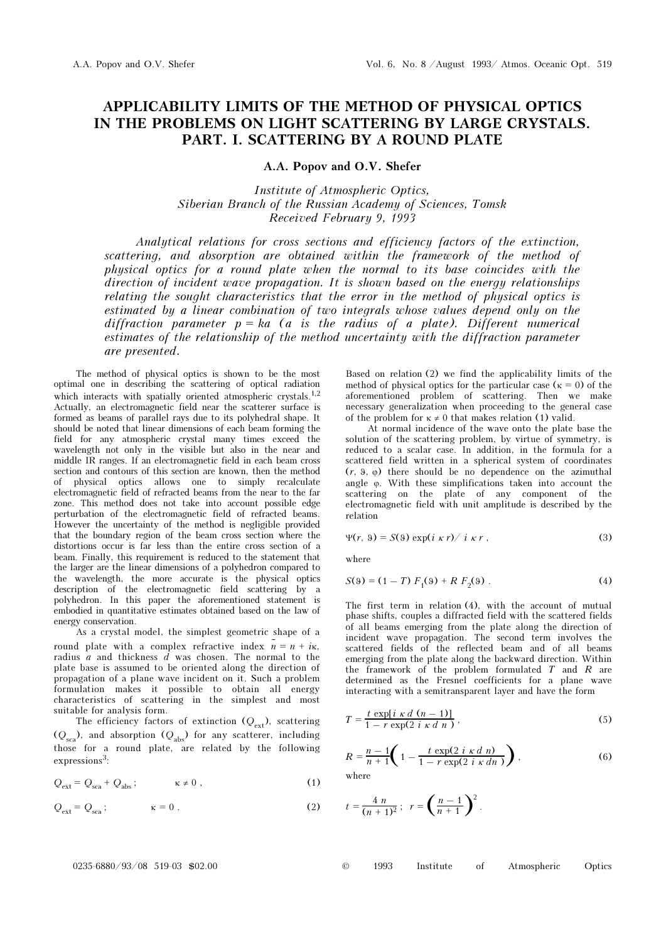## APPLICABILITY LIMITS OF THE METHOD OF PHYSICAL OPTICS IN THE PROBLEMS ON LIGHT SCATTERING BY LARGE CRYSTALS. PART. I. SCATTERING BY A ROUND PLATE

A.A. Popov and O.V. Shefer

Institute of Atmospheric Optics, Siberian Branch of the Russian Academy of Sciences, Tomsk Received February 9, 1993

Analytical relations for cross sections and efficiency factors of the extinction, scattering, and absorption are obtained within the framework of the method of physical optics for a round plate when the normal to its base coincides with the direction of incident wave propagation. It is shown based on the energy relationships relating the sought characteristics that the error in the method of physical optics is estimated by a linear combination of two integrals whose values depend only on the diffraction parameter  $p = ka$  (a is the radius of a plate). Different numerical estimates of the relationship of the method uncertainty with the diffraction parameter are presented.

The method of physical optics is shown to be the most optimal one in describing the scattering of optical radiation which interacts with spatially oriented atmospheric crystals.<sup>1,2</sup> Actually, an electromagnetic field near the scatterer surface is formed as beams of parallel rays due to its polyhedral shape. It should be noted that linear dimensions of each beam forming the field for any atmospheric crystal many times exceed the wavelength not only in the visible but also in the near and middle IR ranges. If an electromagnetic field in each beam cross section and contours of this section are known, then the method of physical optics allows one to simply recalculate electromagnetic field of refracted beams from the near to the far zone. This method does not take into account possible edge perturbation of the electromagnetic field of refracted beams. However the uncertainty of the method is negligible provided that the boundary region of the beam cross section where the distortions occur is far less than the entire cross section of a beam. Finally, this requirement is reduced to the statement that the larger are the linear dimensions of a polyhedron compared to the wavelength, the more accurate is the physical optics description of the electromagnetic field scattering by a polyhedron. In this paper the aforementioned statement is embodied in quantitative estimates obtained based on the law of energy conservation.

As a crystal model, the simplest geometric shape of a round plate with a complex refractive index  $\tilde{n} = n + i\kappa$ , radius  $\overline{a}$  and thickness  $\overline{d}$  was chosen. The normal to the plate base is assumed to be oriented along the direction of propagation of a plane wave incident on it. Such a problem formulation makes it possible to obtain all energy characteristics of scattering in the simplest and most suitable for analysis form.

The efficiency factors of extinction  $(Q_{ext})$ , scattering  $(Q_{\text{sea}})$ , and absorption  $(Q_{\text{abs}})$  for any scatterer, including those for a round plate, are related by the following expressions<sup>3</sup>:

$$
Q_{\text{ext}} = Q_{\text{sca}} + Q_{\text{abs}} \, ; \qquad \kappa \neq 0 \, , \tag{1}
$$

$$
Q_{\text{ext}} = Q_{\text{sca}}; \qquad \kappa = 0. \qquad (2)
$$

Based on relation (2) we find the applicability limits of the method of physical optics for the particular case ( $\kappa = 0$ ) of the aforementioned problem of scattering. Then we make necessary generalization when proceeding to the general case of the problem for  $\kappa \neq 0$  that makes relation (1) valid.

At normal incidence of the wave onto the plate base the solution of the scattering problem, by virtue of symmetry, is reduced to a scalar case. In addition, in the formula for a scattered field written in a spherical system of coordinates  $(r, 9, \varphi)$  there should be no dependence on the azimuthal angle ϕ. With these simplifications taken into account the scattering on the plate of any component of the electromagnetic field with unit amplitude is described by the relation

$$
\Psi(r, \vartheta) = S(\vartheta) \exp(i \kappa r) / i \kappa r , \qquad (3)
$$

where

$$
S(9) = (1 - T) F1(9) + R F2(9) .
$$
 (4)

The first term in relation (4), with the account of mutual phase shifts, couples a diffracted field with the scattered fields of all beams emerging from the plate along the direction of incident wave propagation. The second term involves the scattered fields of the reflected beam and of all beams emerging from the plate along the backward direction. Within the framework of the problem formulated  $T$  and  $R$  are determined as the Fresnel coefficients for a plane wave interacting with a semitransparent layer and have the form

$$
T = \frac{t \exp[i \kappa d (n-1)]}{1 - r \exp(2 i \kappa d n)},
$$
\n<sup>(5)</sup>

$$
R = \frac{n-1}{n+1} \left( 1 - \frac{t \exp(2 i \kappa d n)}{1 - r \exp(2 i \kappa d n)} \right),
$$
\n(6)

where

$$
t = \frac{4 n}{(n+1)^2}
$$
;  $r = \left(\frac{n-1}{n+1}\right)^2$ .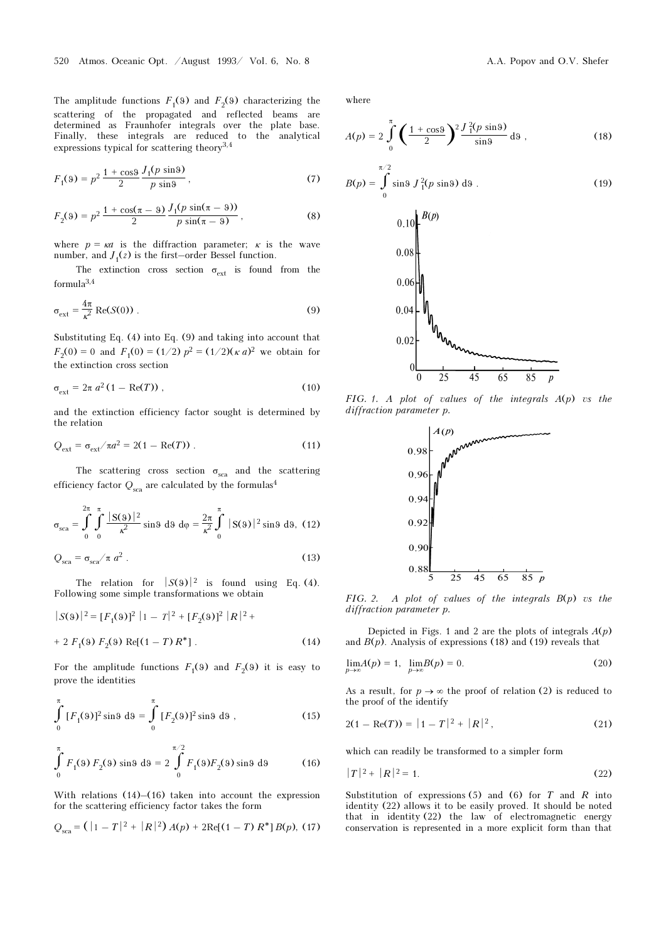The amplitude functions  $F_1(9)$  and  $F_2(9)$  characterizing the scattering of the propagated and reflected beams are determined as Fraunhofer integrals over the plate base. Finally, these integrals are reduced to the analytical expressions typical for scattering theory3,4

$$
F_1(9) = p^2 \frac{1 + \cos \theta}{2} \frac{J_1(p \sin \theta)}{p \sin \theta},
$$
 (7)

$$
F_2(9) = p^2 \frac{1 + \cos(\pi - 9)}{2} \frac{J_1(p \sin(\pi - 9))}{p \sin(\pi - 9)},
$$
\n(8)

where  $p = \kappa a$  is the diffraction parameter;  $\kappa$  is the wave number, and  $J_1(z)$  is the first–order Bessel function.

The extinction cross section  $\sigma_{ext}$  is found from the formula3,4

$$
\sigma_{\text{ext}} = \frac{4\pi}{\kappa^2} \operatorname{Re}(S(0)) \tag{9}
$$

Substituting Eq. (4) into Eq. (9) and taking into account that  $F_2(0) = 0$  and  $F_1(0) = (1/2) p^2 = (1/2)(\kappa a)^2$  we obtain for the extinction cross section

$$
\sigma_{\text{ext}} = 2\pi a^2 (1 - \text{Re}(T)), \qquad (10)
$$

and the extinction efficiency factor sought is determined by the relation

$$
Q_{\text{ext}} = \sigma_{\text{ext}} / \pi a^2 = 2(1 - \text{Re}(T)) \tag{11}
$$

The scattering cross section  $\sigma_{\rm sca}$  and the scattering efficiency factor  $Q_{sca}$  are calculated by the formulas<sup>4</sup>

$$
\sigma_{\text{sea}} = \int_0^{2\pi} \int_0^{\pi} \frac{|\mathbf{S}(9)|^2}{\kappa^2} \sin 9 \, \mathrm{d}9 \, \mathrm{d}\phi = \frac{2\pi}{\kappa^2} \int_0^{\pi} |\mathbf{S}(9)|^2 \sin 9 \, \mathrm{d}9, \tag{12}
$$

$$
Q_{\rm sca} = \sigma_{\rm sca} / \pi a^2 \ . \tag{13}
$$

The relation for  $|S(9)|^2$  is found using Eq. (4). Following some simple transformations we obtain

$$
|S(9)|^2 = [F_1(9)]^2 |1 - T|^2 + [F_2(9)]^2 |R|^2 +
$$
  
+ 2 F<sub>1</sub>(9) F<sub>2</sub>(9) Re[(1 - T) R<sup>\*</sup>]. (14)

For the amplitude functions  $F_1(9)$  and  $F_2(9)$  it is easy to prove the identities

$$
\int_{0}^{\pi} [F_1(9)]^2 \sin 9 \, d9 = \int_{0}^{\pi} [F_2(9)]^2 \sin 9 \, d9 \,, \tag{15}
$$

$$
\int_{0}^{\pi} F_{1}(9) F_{2}(9) \sin 9 \, d9 = 2 \int_{0}^{\pi/2} F_{1}(9) F_{2}(9) \sin 9 \, d9 \tag{16}
$$

With relations  $(14)$ – $(16)$  taken into account the expression for the scattering efficiency factor takes the form

$$
Q_{\rm sca} = ( |1 - T|^2 + |R|^2) A(p) + 2 \text{Re}[(1 - T) R^*] B(p), (17)
$$

where

$$
A(p) = 2 \int_{0}^{\pi} \left( \frac{1 + \cos \theta}{2} \right)^2 \frac{J_1^2(p \sin \theta)}{\sin \theta} d\theta,
$$
 (18)

$$
B(p) = \int_{0}^{\pi/2} \sin 9 J_1^2(p \sin 9) \, d9 \,. \tag{19}
$$



FIG. 1. A plot of values of the integrals  $A(p)$  vs the diffraction parameter p.



FIG. 2. A plot of values of the integrals  $B(p)$  vs the diffraction parameter p.

Depicted in Figs. 1 and 2 are the plots of integrals  $A(p)$ and  $B(p)$ . Analysis of expressions (18) and (19) reveals that

$$
\lim_{p \to \infty} A(p) = 1, \quad \lim_{p \to \infty} B(p) = 0. \tag{20}
$$

As a result, for  $p \to \infty$  the proof of relation (2) is reduced to the proof of the identify

$$
2(1 - \text{Re}(T)) = |1 - T|^2 + |R|^2, \tag{21}
$$

which can readily be transformed to a simpler form

$$
|T|^2 + |R|^2 = 1.
$$
 (22)

Substitution of expressions  $(5)$  and  $(6)$  for T and R into identity (22) allows it to be easily proved. It should be noted that in identity (22) the law of electromagnetic energy conservation is represented in a more explicit form than that